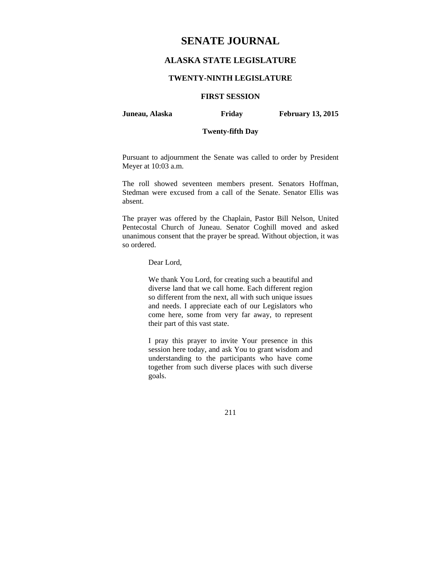# **SENATE JOURNAL**

# **ALASKA STATE LEGISLATURE**

### **TWENTY-NINTH LEGISLATURE**

# **FIRST SESSION**

**Juneau, Alaska Friday February 13, 2015** 

# **Twenty-fifth Day**

Pursuant to adjournment the Senate was called to order by President Meyer at 10:03 a.m.

The roll showed seventeen members present. Senators Hoffman, Stedman were excused from a call of the Senate. Senator Ellis was absent.

The prayer was offered by the Chaplain, Pastor Bill Nelson, United Pentecostal Church of Juneau. Senator Coghill moved and asked unanimous consent that the prayer be spread. Without objection, it was so ordered.

Dear Lord,

We thank You Lord, for creating such a beautiful and diverse land that we call home. Each different region so different from the next, all with such unique issues and needs. I appreciate each of our Legislators who come here, some from very far away, to represent their part of this vast state.

I pray this prayer to invite Your presence in this session here today, and ask You to grant wisdom and understanding to the participants who have come together from such diverse places with such diverse goals.

211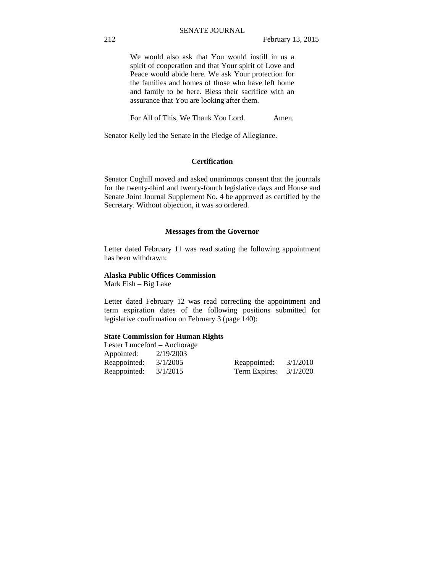We would also ask that You would instill in us a spirit of cooperation and that Your spirit of Love and Peace would abide here. We ask Your protection for the families and homes of those who have left home and family to be here. Bless their sacrifice with an assurance that You are looking after them.

For All of This, We Thank You Lord. Amen.

Senator Kelly led the Senate in the Pledge of Allegiance.

### **Certification**

Senator Coghill moved and asked unanimous consent that the journals for the twenty-third and twenty-fourth legislative days and House and Senate Joint Journal Supplement No. 4 be approved as certified by the Secretary. Without objection, it was so ordered.

### **Messages from the Governor**

Letter dated February 11 was read stating the following appointment has been withdrawn:

### **Alaska Public Offices Commission**

Mark Fish – Big Lake

Letter dated February 12 was read correcting the appointment and term expiration dates of the following positions submitted for legislative confirmation on February 3 (page 140):

### **State Commission for Human Rights**

| Lester Lunceford – Anchorage |              |               |  |  |  |  |
|------------------------------|--------------|---------------|--|--|--|--|
| 2/19/2003                    |              |               |  |  |  |  |
| 3/1/2005                     | Reappointed: | 3/1/2010      |  |  |  |  |
| 3/1/2015                     |              | 3/1/2020      |  |  |  |  |
|                              |              | Term Expires: |  |  |  |  |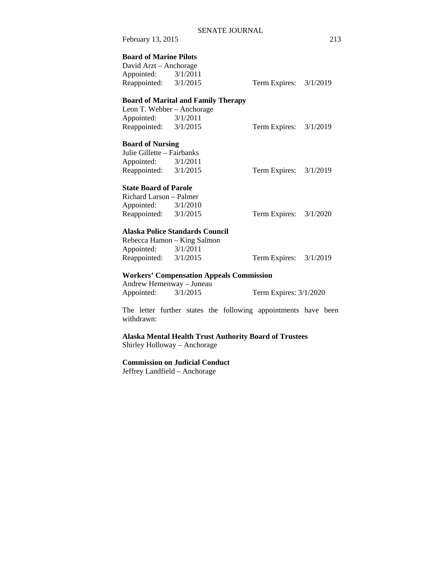| February 13, 2015                                                                                       |                                                 |                          | 213 |
|---------------------------------------------------------------------------------------------------------|-------------------------------------------------|--------------------------|-----|
| <b>Board of Marine Pilots</b><br>David Arzt - Anchorage<br>Appointed: 3/1/2011<br>Reappointed: 3/1/2015 |                                                 | Term Expires: 3/1/2019   |     |
|                                                                                                         | <b>Board of Marital and Family Therapy</b>      |                          |     |
| Leon T. Webber - Anchorage                                                                              |                                                 |                          |     |
| Appointed: $3/1/2011$                                                                                   |                                                 |                          |     |
| Reappointed: 3/1/2015                                                                                   |                                                 | Term Expires: $3/1/2019$ |     |
| <b>Board of Nursing</b>                                                                                 |                                                 |                          |     |
| Julie Gillette - Fairbanks                                                                              |                                                 |                          |     |
| Appointed: 3/1/2011                                                                                     |                                                 |                          |     |
| Reappointed: 3/1/2015                                                                                   |                                                 | Term Expires: $3/1/2019$ |     |
| <b>State Board of Parole</b>                                                                            |                                                 |                          |     |
| Richard Larson – Palmer                                                                                 |                                                 |                          |     |
| Appointed: 3/1/2010                                                                                     |                                                 |                          |     |
| Reappointed: 3/1/2015                                                                                   |                                                 | Term Expires: 3/1/2020   |     |
|                                                                                                         | <b>Alaska Police Standards Council</b>          |                          |     |
|                                                                                                         | Rebecca Hamon - King Salmon                     |                          |     |
| Appointed: 3/1/2011                                                                                     |                                                 |                          |     |
| Reappointed: 3/1/2015                                                                                   |                                                 | Term Expires: 3/1/2019   |     |
|                                                                                                         | <b>Workers' Compensation Appeals Commission</b> |                          |     |
| Andrew Hemenway - Juneau                                                                                |                                                 |                          |     |
| Appointed: 3/1/2015                                                                                     |                                                 | Term Expires: 3/1/2020   |     |

The letter further states the following appointments have been withdrawn:

**Alaska Mental Health Trust Authority Board of Trustees** 

Shirley Holloway – Anchorage

**Commission on Judicial Conduct** 

Jeffrey Landfield – Anchorage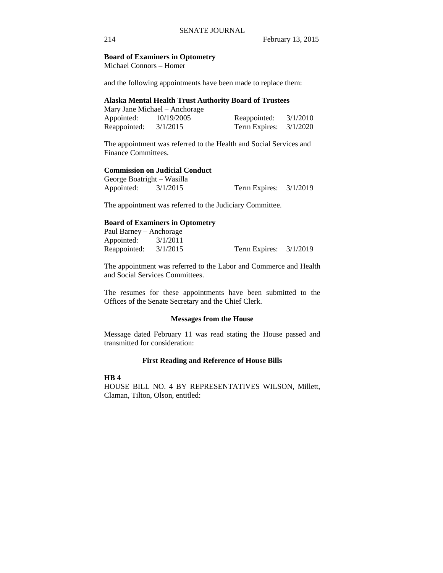### **Board of Examiners in Optometry**

Michael Connors – Homer

and the following appointments have been made to replace them:

### **Alaska Mental Health Trust Authority Board of Trustees**

|              | Mary Jane Michael – Anchorage |                          |          |
|--------------|-------------------------------|--------------------------|----------|
| Appointed:   | 10/19/2005                    | Reappointed:             | 3/1/2010 |
| Reappointed: | 3/1/2015                      | Term Expires: $3/1/2020$ |          |

The appointment was referred to the Health and Social Services and Finance Committees.

### **Commission on Judicial Conduct**

| George Boatright – Wasilla |          |                          |  |
|----------------------------|----------|--------------------------|--|
| Appointed:                 | 3/1/2015 | Term Expires: $3/1/2019$ |  |

The appointment was referred to the Judiciary Committee.

### **Board of Examiners in Optometry**

| Paul Barney – Anchorage |                          |  |
|-------------------------|--------------------------|--|
| Appointed: $3/1/2011$   |                          |  |
| Reappointed: $3/1/2015$ | Term Expires: $3/1/2019$ |  |

The appointment was referred to the Labor and Commerce and Health and Social Services Committees.

The resumes for these appointments have been submitted to the Offices of the Senate Secretary and the Chief Clerk.

### **Messages from the House**

Message dated February 11 was read stating the House passed and transmitted for consideration:

## **First Reading and Reference of House Bills**

**HB 4** 

HOUSE BILL NO. 4 BY REPRESENTATIVES WILSON, Millett, Claman, Tilton, Olson, entitled: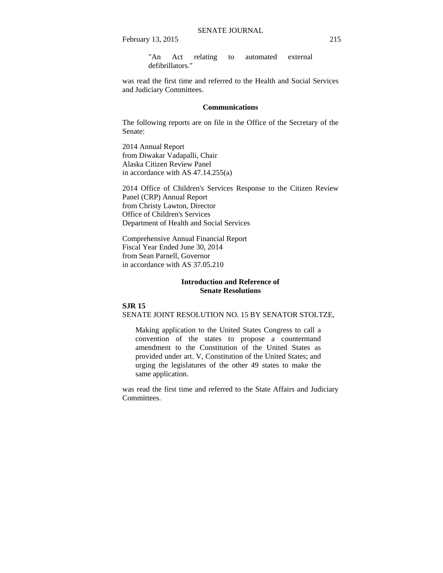February 13, 2015 215

"An Act relating to automated external defibrillators."

was read the first time and referred to the Health and Social Services and Judiciary Committees.

### **Communications**

The following reports are on file in the Office of the Secretary of the Senate:

2014 Annual Report from Diwakar Vadapalli, Chair Alaska Citizen Review Panel in accordance with AS 47.14.255(a)

2014 Office of Children's Services Response to the Citizen Review Panel (CRP) Annual Report from Christy Lawton, Director Office of Children's Services Department of Health and Social Services

Comprehensive Annual Financial Report Fiscal Year Ended June 30, 2014 from Sean Parnell, Governor in accordance with AS 37.05.210

### **Introduction and Reference of Senate Resolutions**

## **SJR 15** SENATE JOINT RESOLUTION NO. 15 BY SENATOR STOLTZE,

Making application to the United States Congress to call a convention of the states to propose a countermand amendment to the Constitution of the United States as provided under art. V, Constitution of the United States; and urging the legislatures of the other 49 states to make the same application.

was read the first time and referred to the State Affairs and Judiciary Committees.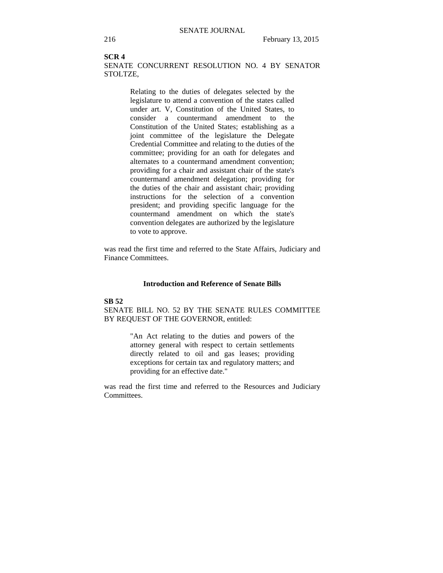### **SCR 4**

SENATE CONCURRENT RESOLUTION NO. 4 BY SENATOR STOLTZE,

> Relating to the duties of delegates selected by the legislature to attend a convention of the states called under art. V, Constitution of the United States, to consider a countermand amendment to the Constitution of the United States; establishing as a joint committee of the legislature the Delegate Credential Committee and relating to the duties of the committee; providing for an oath for delegates and alternates to a countermand amendment convention; providing for a chair and assistant chair of the state's countermand amendment delegation; providing for the duties of the chair and assistant chair; providing instructions for the selection of a convention president; and providing specific language for the countermand amendment on which the state's convention delegates are authorized by the legislature to vote to approve.

was read the first time and referred to the State Affairs, Judiciary and Finance Committees.

### **Introduction and Reference of Senate Bills**

#### **SB 52**

SENATE BILL NO. 52 BY THE SENATE RULES COMMITTEE BY REQUEST OF THE GOVERNOR, entitled:

> "An Act relating to the duties and powers of the attorney general with respect to certain settlements directly related to oil and gas leases; providing exceptions for certain tax and regulatory matters; and providing for an effective date."

was read the first time and referred to the Resources and Judiciary Committees.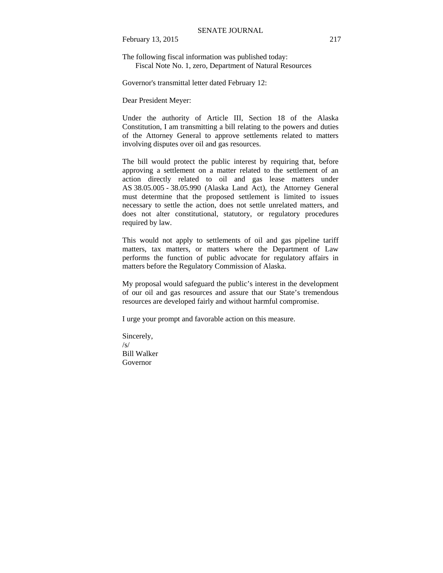February 13, 2015 217

The following fiscal information was published today: Fiscal Note No. 1, zero, Department of Natural Resources

Governor's transmittal letter dated February 12:

Dear President Meyer:

Under the authority of Article III, Section 18 of the Alaska Constitution, I am transmitting a bill relating to the powers and duties of the Attorney General to approve settlements related to matters involving disputes over oil and gas resources.

The bill would protect the public interest by requiring that, before approving a settlement on a matter related to the settlement of an action directly related to oil and gas lease matters under AS 38.05.005 - 38.05.990 (Alaska Land Act), the Attorney General must determine that the proposed settlement is limited to issues necessary to settle the action, does not settle unrelated matters, and does not alter constitutional, statutory, or regulatory procedures required by law.

This would not apply to settlements of oil and gas pipeline tariff matters, tax matters, or matters where the Department of Law performs the function of public advocate for regulatory affairs in matters before the Regulatory Commission of Alaska.

My proposal would safeguard the public's interest in the development of our oil and gas resources and assure that our State's tremendous resources are developed fairly and without harmful compromise.

I urge your prompt and favorable action on this measure.

Sincerely,  $\sqrt{s}$ Bill Walker Governor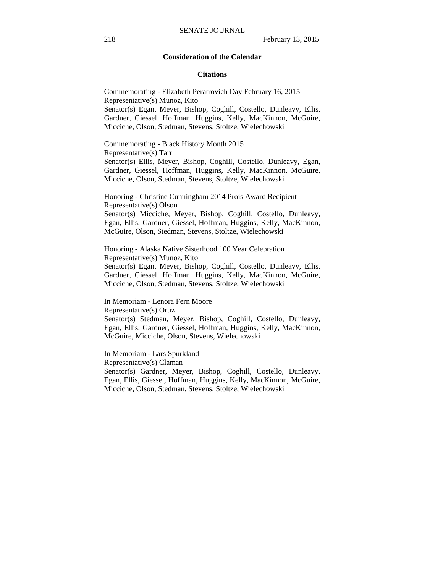### **Consideration of the Calendar**

#### **Citations**

Commemorating - Elizabeth Peratrovich Day February 16, 2015 Representative(s) Munoz, Kito Senator(s) Egan, Meyer, Bishop, Coghill, Costello, Dunleavy, Ellis, Gardner, Giessel, Hoffman, Huggins, Kelly, MacKinnon, McGuire, Micciche, Olson, Stedman, Stevens, Stoltze, Wielechowski

Commemorating - Black History Month 2015 Representative(s) Tarr Senator(s) Ellis, Meyer, Bishop, Coghill, Costello, Dunleavy, Egan, Gardner, Giessel, Hoffman, Huggins, Kelly, MacKinnon, McGuire, Micciche, Olson, Stedman, Stevens, Stoltze, Wielechowski

Honoring - Christine Cunningham 2014 Prois Award Recipient Representative(s) Olson Senator(s) Micciche, Meyer, Bishop, Coghill, Costello, Dunleavy, Egan, Ellis, Gardner, Giessel, Hoffman, Huggins, Kelly, MacKinnon, McGuire, Olson, Stedman, Stevens, Stoltze, Wielechowski

Honoring - Alaska Native Sisterhood 100 Year Celebration Representative(s) Munoz, Kito Senator(s) Egan, Meyer, Bishop, Coghill, Costello, Dunleavy, Ellis, Gardner, Giessel, Hoffman, Huggins, Kelly, MacKinnon, McGuire, Micciche, Olson, Stedman, Stevens, Stoltze, Wielechowski

In Memoriam - Lenora Fern Moore Representative(s) Ortiz Senator(s) Stedman, Meyer, Bishop, Coghill, Costello, Dunleavy, Egan, Ellis, Gardner, Giessel, Hoffman, Huggins, Kelly, MacKinnon, McGuire, Micciche, Olson, Stevens, Wielechowski

In Memoriam - Lars Spurkland Representative(s) Claman Senator(s) Gardner, Meyer, Bishop, Coghill, Costello, Dunleavy, Egan, Ellis, Giessel, Hoffman, Huggins, Kelly, MacKinnon, McGuire, Micciche, Olson, Stedman, Stevens, Stoltze, Wielechowski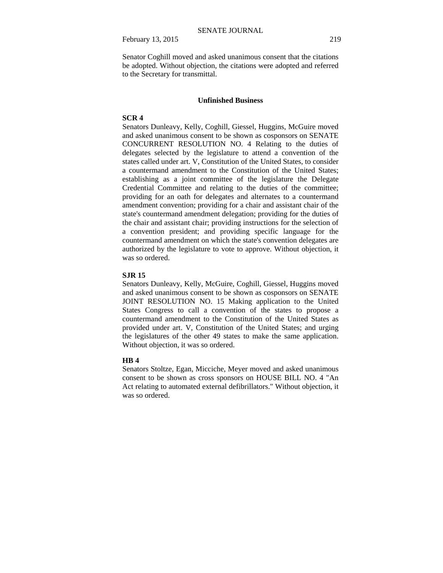February 13, 2015 219

Senator Coghill moved and asked unanimous consent that the citations be adopted. Without objection, the citations were adopted and referred to the Secretary for transmittal.

### **Unfinished Business**

### **SCR 4**

Senators Dunleavy, Kelly, Coghill, Giessel, Huggins, McGuire moved and asked unanimous consent to be shown as cosponsors on SENATE CONCURRENT RESOLUTION NO. 4 Relating to the duties of delegates selected by the legislature to attend a convention of the states called under art. V, Constitution of the United States, to consider a countermand amendment to the Constitution of the United States; establishing as a joint committee of the legislature the Delegate Credential Committee and relating to the duties of the committee; providing for an oath for delegates and alternates to a countermand amendment convention; providing for a chair and assistant chair of the state's countermand amendment delegation; providing for the duties of the chair and assistant chair; providing instructions for the selection of a convention president; and providing specific language for the countermand amendment on which the state's convention delegates are authorized by the legislature to vote to approve. Without objection, it was so ordered.

### **SJR 15**

Senators Dunleavy, Kelly, McGuire, Coghill, Giessel, Huggins moved and asked unanimous consent to be shown as cosponsors on SENATE JOINT RESOLUTION NO. 15 Making application to the United States Congress to call a convention of the states to propose a countermand amendment to the Constitution of the United States as provided under art. V, Constitution of the United States; and urging the legislatures of the other 49 states to make the same application. Without objection, it was so ordered.

### **HB 4**

Senators Stoltze, Egan, Micciche, Meyer moved and asked unanimous consent to be shown as cross sponsors on HOUSE BILL NO. 4 "An Act relating to automated external defibrillators." Without objection, it was so ordered.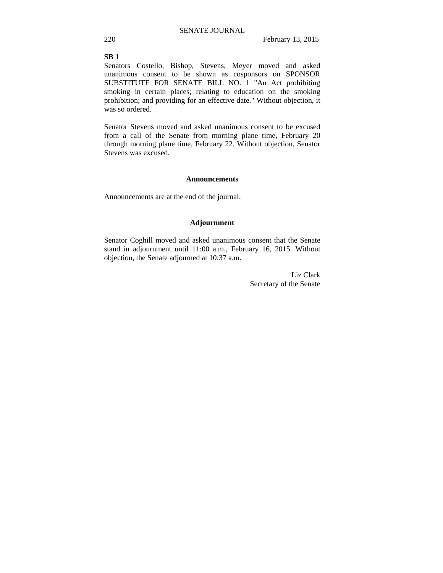# **SB 1**

Senators Costello, Bishop, Stevens, Meyer moved and asked unanimous consent to be shown as cosponsors on SPONSOR SUBSTITUTE FOR SENATE BILL NO. 1 "An Act prohibiting smoking in certain places; relating to education on the smoking prohibition; and providing for an effective date." Without objection, it was so ordered.

Senator Stevens moved and asked unanimous consent to be excused from a call of the Senate from morning plane time, February 20 through morning plane time, February 22. Without objection, Senator Stevens was excused.

### **Announcements**

Announcements are at the end of the journal.

### **Adjournment**

Senator Coghill moved and asked unanimous consent that the Senate stand in adjournment until 11:00 a.m., February 16, 2015. Without objection, the Senate adjourned at 10:37 a.m.

> Liz Clark Secretary of the Senate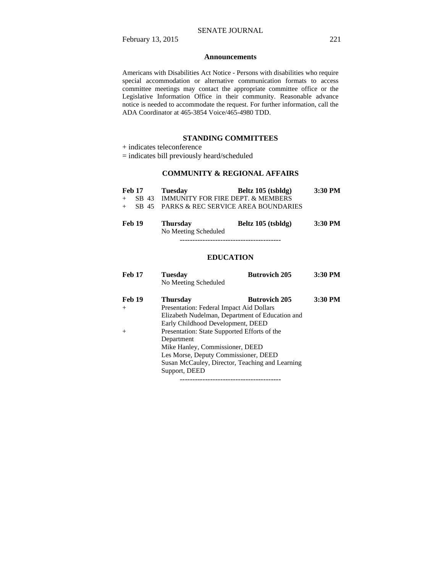### **Announcements**

Americans with Disabilities Act Notice - Persons with disabilities who require special accommodation or alternative communication formats to access committee meetings may contact the appropriate committee office or the Legislative Information Office in their community. Reasonable advance notice is needed to accommodate the request. For further information, call the ADA Coordinator at 465-3854 Voice/465-4980 TDD.

### **STANDING COMMITTEES**

+ indicates teleconference

= indicates bill previously heard/scheduled

# **COMMUNITY & REGIONAL AFFAIRS**

| Feb 17                                                                                                   | Tuesday      | Beltz 105 (tsbldg)                                                                                                      | $3:30$ PM        |
|----------------------------------------------------------------------------------------------------------|--------------|-------------------------------------------------------------------------------------------------------------------------|------------------|
|                                                                                                          |              | + SB 43 IMMUNITY FOR FIRE DEPT. & MEMBERS                                                                               |                  |
|                                                                                                          |              | + SB 45 PARKS & REC SERVICE AREA BOUNDARIES                                                                             |                  |
| $\blacksquare$ $\blacksquare$ $\blacksquare$ $\blacksquare$ $\blacksquare$ $\blacksquare$ $\blacksquare$ | $\mathbf{m}$ | $\mathbf{D}$ 14 $\mathbf{A}$ $\mathbf{A}$ $\mathbf{B}$ $\mathbf{A}$ $\mathbf{I}$ $\mathbf{I}$ $\mathbf{I}$ $\mathbf{A}$ | $2.20$ DJ $\ell$ |

| Feb 19 | <b>Thursday</b>      | Beltz 105 (tsbldg) | 3:30 PM |
|--------|----------------------|--------------------|---------|
|        | No Meeting Scheduled |                    |         |

----------------------------------------

### **EDUCATION**

| <b>Feb 17</b> | <b>Tuesday</b>                                  | <b>Butrovich 205</b>                            | 3:30 PM |
|---------------|-------------------------------------------------|-------------------------------------------------|---------|
|               | No Meeting Scheduled                            |                                                 |         |
| <b>Feb 19</b> | <b>Thursday</b>                                 | <b>Butrovich 205</b>                            | 3:30 PM |
| $^{+}$        | Presentation: Federal Impact Aid Dollars        |                                                 |         |
|               | Elizabeth Nudelman, Department of Education and |                                                 |         |
|               | Early Childhood Development, DEED               |                                                 |         |
| $^{+}$        | Presentation: State Supported Efforts of the    |                                                 |         |
|               | Department                                      |                                                 |         |
|               | Mike Hanley, Commissioner, DEED                 |                                                 |         |
|               | Les Morse, Deputy Commissioner, DEED            |                                                 |         |
|               |                                                 | Susan McCauley, Director, Teaching and Learning |         |
|               | Support, DEED                                   |                                                 |         |

----------------------------------------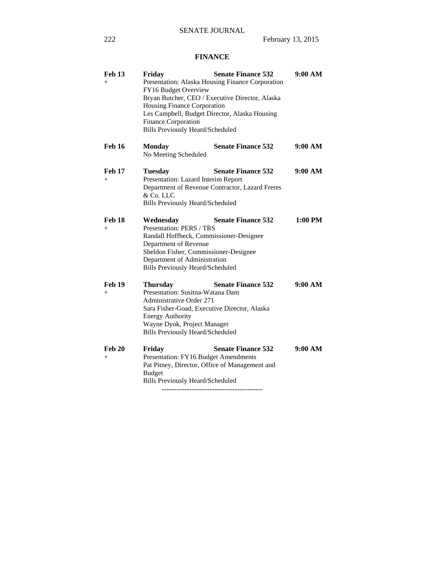# **FINANCE**

| <b>Feb 13</b><br>$+$    | Friday<br>FY16 Budget Overview<br>Housing Finance Corporation<br>Les Campbell, Budget Director, Alaska Housing<br>Finance Corporation<br>Bills Previously Heard/Scheduled                                                                   | <b>Senate Finance 532</b><br>Presentation: Alaska Housing Finance Corporation<br>Bryan Butcher, CEO / Executive Director, Alaska | 9:00 AM |
|-------------------------|---------------------------------------------------------------------------------------------------------------------------------------------------------------------------------------------------------------------------------------------|----------------------------------------------------------------------------------------------------------------------------------|---------|
| <b>Feb 16</b>           | <b>Monday</b><br>No Meeting Scheduled                                                                                                                                                                                                       | <b>Senate Finance 532</b>                                                                                                        | 9:00 AM |
| <b>Feb 17</b><br>$+$    | <b>Tuesday</b><br>Presentation: Lazard Interim Report<br>& Co. LLC<br><b>Bills Previously Heard/Scheduled</b>                                                                                                                               | <b>Senate Finance 532</b><br>Department of Revenue Contractor, Lazard Freres                                                     | 9:00 AM |
| <b>Feb 18</b><br>$^{+}$ | Wednesday<br>Presentation: PERS / TRS<br>Randall Hoffbeck, Commissioner-Designee<br>Department of Revenue<br>Sheldon Fisher, Commissioner-Designee<br>Department of Administration<br><b>Bills Previously Heard/Scheduled</b>               | <b>Senate Finance 532</b>                                                                                                        | 1:00 PM |
| <b>Feb 19</b><br>$+$    | <b>Thursday</b><br>Presentation: Susitna-Watana Dam<br><b>Administrative Order 271</b><br>Sara Fisher-Goad, Executive Director, Alaska<br><b>Energy Authority</b><br>Wayne Dyok, Project Manager<br><b>Bills Previously Heard/Scheduled</b> | <b>Senate Finance 532</b>                                                                                                        | 9:00 AM |
| <b>Feb 20</b><br>$+$    | Friday<br>Presentation: FY16 Budget Amendments<br>Pat Pitney, Director, Office of Management and<br><b>Budget</b><br><b>Bills Previously Heard/Scheduled</b>                                                                                | <b>Senate Finance 532</b>                                                                                                        | 9:00 AM |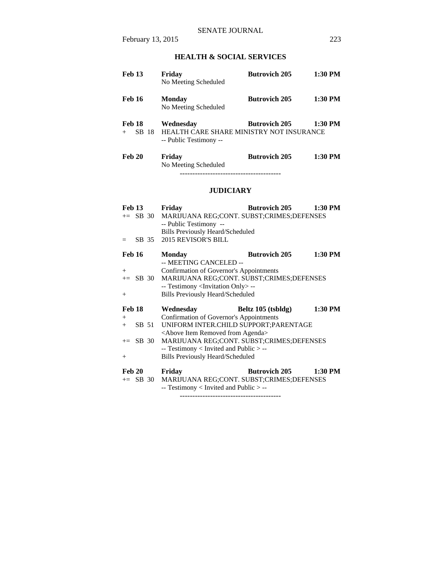# **HEALTH & SOCIAL SERVICES**

| <b>Feb 13</b>             | Friday<br>No Meeting Scheduled                                                  | <b>Butrovich 205</b> | $1:30$ PM |
|---------------------------|---------------------------------------------------------------------------------|----------------------|-----------|
| <b>Feb 16</b>             | <b>Monday</b><br>No Meeting Scheduled                                           | <b>Butrovich 205</b> | $1:30$ PM |
| Feb 18<br>SB 18<br>$^{+}$ | Wednesday<br>HEALTH CARE SHARE MINISTRY NOT INSURANCE<br>-- Public Testimony -- | <b>Butrovich 205</b> | $1:30$ PM |
| <b>Feb 20</b>             | Friday<br>No Meeting Scheduled                                                  | <b>Butrovich 205</b> | $1:30$ PM |

# **JUDICIARY**

| <b>Feb 13</b> |             | Friday                                                                              | <b>Butrovich 205</b> | 1:30 PM |
|---------------|-------------|-------------------------------------------------------------------------------------|----------------------|---------|
|               | $\pm$ SB 30 | MARIJUANA REG;CONT. SUBST;CRIMES;DEFENSES                                           |                      |         |
|               |             | -- Public Testimony --                                                              |                      |         |
|               |             | <b>Bills Previously Heard/Scheduled</b>                                             |                      |         |
| $=$           | SB 35       | 2015 REVISOR'S BILL                                                                 |                      |         |
| <b>Feb 16</b> |             | <b>Monday</b>                                                                       | <b>Butrovich 205</b> | 1:30 PM |
|               |             | -- MEETING CANCELED --                                                              |                      |         |
| $+$           |             | Confirmation of Governor's Appointments                                             |                      |         |
|               | $\pm$ SB 30 | MARIJUANA REG;CONT. SUBST;CRIMES;DEFENSES                                           |                      |         |
|               |             | -- Testimony <invitation only=""> --</invitation>                                   |                      |         |
| $+$           |             | <b>Bills Previously Heard/Scheduled</b>                                             |                      |         |
|               |             |                                                                                     |                      |         |
| <b>Feb 18</b> |             | Wednesday                                                                           | Beltz 105 (tsbldg)   | 1:30 PM |
| $+$           |             | Confirmation of Governor's Appointments                                             |                      |         |
| $+$           | SB 51       | UNIFORM INTER.CHILD SUPPORT; PARENTAGE                                              |                      |         |
|               |             | <above agenda="" from="" item="" removed=""></above>                                |                      |         |
|               | $\pm$ SB 30 | MARIJUANA REG;CONT. SUBST;CRIMES;DEFENSES                                           |                      |         |
|               |             | $-$ Testimony < Invited and Public $>$ $-$                                          |                      |         |
| $+$           |             | <b>Bills Previously Heard/Scheduled</b>                                             |                      |         |
| <b>Feb 20</b> |             |                                                                                     |                      |         |
|               |             | Friday                                                                              | <b>Butrovich 205</b> | 1:30 PM |
|               | $+=$ SB 30  | MARIJUANA REG;CONT. SUBST;CRIMES;DEFENSES<br>-- Testimony < Invited and Public > -- |                      |         |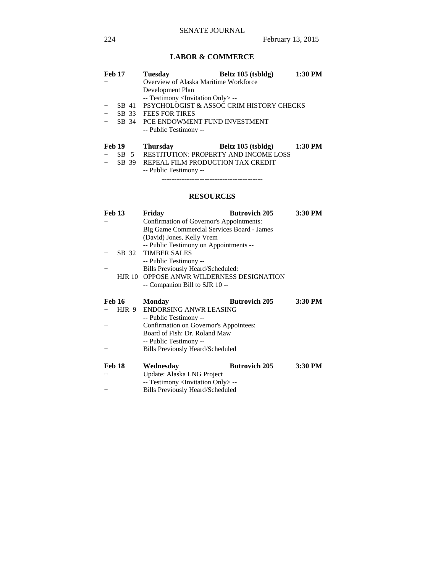# **LABOR & COMMERCE**

| <b>Feb 17</b> |        |       | <b>Tuesday</b>                                    | Beltz 105 (tsbldg) | 1:30 PM |
|---------------|--------|-------|---------------------------------------------------|--------------------|---------|
| $+$           |        |       | Overview of Alaska Maritime Workforce             |                    |         |
|               |        |       | Development Plan                                  |                    |         |
|               |        |       | -- Testimony <invitation only=""> --</invitation> |                    |         |
| $+$           |        | SB 41 | PSYCHOLOGIST & ASSOC CRIM HISTORY CHECKS          |                    |         |
| $+$           | SB 33  |       | <b>FEES FOR TIRES</b>                             |                    |         |
| $+$           |        |       | SB 34 PCE ENDOWMENT FUND INVESTMENT               |                    |         |
|               |        |       | -- Public Testimony --                            |                    |         |
| <b>Feb 19</b> |        |       | <b>Thursday</b>                                   | Beltz 105 (tsbldg) | 1:30 PM |
| $+$           | $SB$ 5 |       | <b>RESTITUTION: PROPERTY AND INCOME LOSS</b>      |                    |         |
| $+$           | SB 39  |       | REPEAL FILM PRODUCTION TAX CREDIT                 |                    |         |
|               |        |       | -- Public Testimony --                            |                    |         |

----------------------------------------

# **RESOURCES**

| Feb 13        |          | Friday                                     | <b>Butrovich 205</b> | 3:30 PM |
|---------------|----------|--------------------------------------------|----------------------|---------|
| $^{+}$        |          | Confirmation of Governor's Appointments:   |                      |         |
|               |          | Big Game Commercial Services Board - James |                      |         |
|               |          | (David) Jones, Kelly Vrem                  |                      |         |
|               |          | -- Public Testimony on Appointments --     |                      |         |
| $+$           |          | SB 32 TIMBER SALES                         |                      |         |
|               |          | -- Public Testimony --                     |                      |         |
| $^{+}$        |          | Bills Previously Heard/Scheduled:          |                      |         |
|               | $HJR$ 10 | OPPOSE ANWR WILDERNESS DESIGNATION         |                      |         |
|               |          | -- Companion Bill to SJR 10 --             |                      |         |
|               |          |                                            |                      |         |
| <b>Feb 16</b> |          | Monday                                     | <b>Butrovich 205</b> | 3:30 PM |
|               |          |                                            |                      |         |
| $+$           | HJR 9    | <b>ENDORSING ANWR LEASING</b>              |                      |         |
|               |          | -- Public Testimony --                     |                      |         |
| $^{+}$        |          | Confirmation on Governor's Appointees:     |                      |         |
|               |          | Board of Fish: Dr. Roland Maw              |                      |         |
|               |          | -- Public Testimony --                     |                      |         |
| $^{+}$        |          | <b>Bills Previously Heard/Scheduled</b>    |                      |         |
|               |          |                                            |                      |         |
| Feb 18        |          | Wednesday                                  | <b>Butrovich 205</b> | 3:30 PM |
| $^{+}$        |          | Update: Alaska LNG Project                 |                      |         |

+ Bills Previously Heard/Scheduled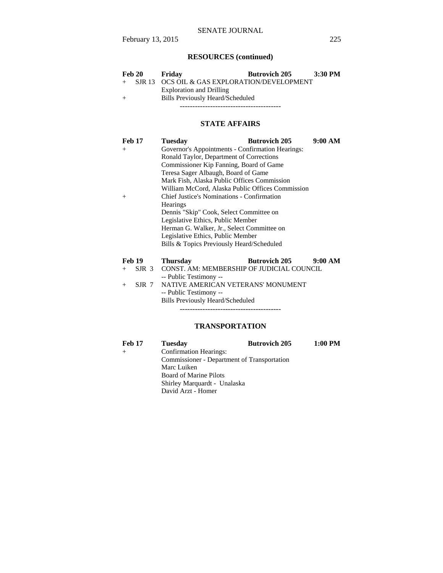# **RESOURCES (continued)**

|     | Feb 20 | Fridav                                         | <b>Butrovich 205</b> | 3:30 PM |
|-----|--------|------------------------------------------------|----------------------|---------|
|     |        | + SJR 13 OCS OIL & GAS EXPLORATION/DEVELOPMENT |                      |         |
|     |        | <b>Exploration and Drilling</b>                |                      |         |
| $+$ |        | Bills Previously Heard/Scheduled               |                      |         |
|     |        |                                                |                      |         |

# **STATE AFFAIRS**

| <b>Feb 17</b> | 9:00 AM<br><b>Butrovich 205</b><br><b>Tuesday</b>              |  |  |
|---------------|----------------------------------------------------------------|--|--|
| $^{+}$        | Governor's Appointments - Confirmation Hearings:               |  |  |
|               | Ronald Taylor, Department of Corrections                       |  |  |
|               | Commissioner Kip Fanning, Board of Game                        |  |  |
|               | Teresa Sager Albaugh, Board of Game                            |  |  |
|               | Mark Fish, Alaska Public Offices Commission                    |  |  |
|               | William McCord, Alaska Public Offices Commission               |  |  |
| $^{+}$        | <b>Chief Justice's Nominations - Confirmation</b>              |  |  |
|               | <b>Hearings</b>                                                |  |  |
|               | Dennis "Skip" Cook, Select Committee on                        |  |  |
|               | Legislative Ethics, Public Member                              |  |  |
|               | Herman G. Walker, Jr., Select Committee on                     |  |  |
|               | Legislative Ethics, Public Member                              |  |  |
|               | Bills & Topics Previously Heard/Scheduled                      |  |  |
| <b>Feb 19</b> | <b>Butrovich 205</b><br>9:00 AM<br><b>Thursday</b>             |  |  |
| SJR 3<br>$+$  | CONST. AM: MEMBERSHIP OF JUDICIAL COUNCIL                      |  |  |
|               |                                                                |  |  |
| $GID$ $7$     | -- Public Testimony --<br>MATIVE AMERICAN VETER ANGUMANI BJENT |  |  |

+ SJR 7 NATIVE AMERICAN VETERANS' MONUMENT

 -- Public Testimony -- Bills Previously Heard/Scheduled ----------------------------------------

# **TRANSPORTATION**

| <b>Feb 17</b> | <b>Tuesday</b>                              | <b>Butrovich 205</b> | $1:00$ PM |
|---------------|---------------------------------------------|----------------------|-----------|
| $^{+}$        | <b>Confirmation Hearings:</b>               |                      |           |
|               | Commissioner - Department of Transportation |                      |           |
|               | Marc Luiken                                 |                      |           |
|               | <b>Board of Marine Pilots</b>               |                      |           |
|               | Shirley Marquardt - Unalaska                |                      |           |
|               | David Arzt - Homer                          |                      |           |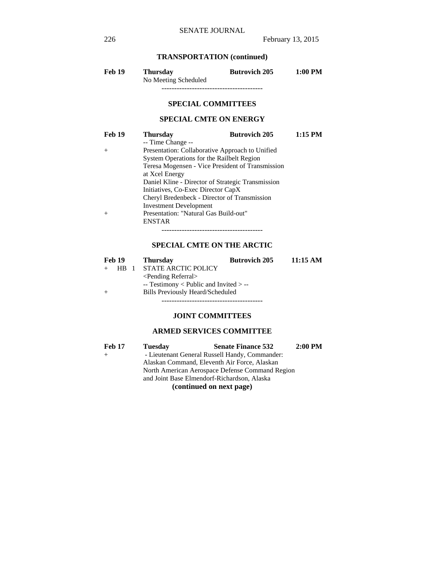# **TRANSPORTATION (continued)**

| Feb 19 | <b>Thursday</b>      | <b>Butrovich 205</b> | $1:00$ PM |
|--------|----------------------|----------------------|-----------|
|        | No Meeting Scheduled |                      |           |
|        |                      |                      |           |

# **SPECIAL COMMITTEES**

### **SPECIAL CMTE ON ENERGY**

| <b>Feb 19</b> | <b>Thursday</b>                                   | <b>Butrovich 205</b> | $1:15$ PM |
|---------------|---------------------------------------------------|----------------------|-----------|
|               | -- Time Change --                                 |                      |           |
| $+$           | Presentation: Collaborative Approach to Unified   |                      |           |
|               | System Operations for the Railbelt Region         |                      |           |
|               | Teresa Mogensen - Vice President of Transmission  |                      |           |
|               | at Xcel Energy                                    |                      |           |
|               | Daniel Kline - Director of Strategic Transmission |                      |           |
|               | Initiatives, Co-Exec Director CapX                |                      |           |
|               | Cheryl Bredenbeck - Director of Transmission      |                      |           |
|               | <b>Investment Development</b>                     |                      |           |
| $+$           | Presentation: "Natural Gas Build-out"             |                      |           |
|               | <b>ENSTAR</b>                                     |                      |           |
|               |                                                   |                      |           |

### **SPECIAL CMTE ON THE ARCTIC**

| <b>Feb 19</b> |     | <b>Thursday</b>                          | <b>Butrovich 205</b> | 11:15 AM |
|---------------|-----|------------------------------------------|----------------------|----------|
|               | HB. | <b>STATE ARCTIC POLICY</b>               |                      |          |
|               |     | $\le$ Pending Referral $>$               |                      |          |
|               |     | $-$ Testimony < Public and Invited > $-$ |                      |          |
|               |     | Bills Previously Heard/Scheduled         |                      |          |
|               |     |                                          |                      |          |

**JOINT COMMITTEES**

# **ARMED SERVICES COMMITTEE**

| <b>Feb 17</b> | <b>Tuesday</b>                                  | <b>Senate Finance 532</b>                      | $2:00$ PM |
|---------------|-------------------------------------------------|------------------------------------------------|-----------|
| $+$           |                                                 | - Lieutenant General Russell Handy, Commander: |           |
|               | Alaskan Command, Eleventh Air Force, Alaskan    |                                                |           |
|               | North American Aerospace Defense Command Region |                                                |           |
|               | and Joint Base Elmendorf-Richardson, Alaska     |                                                |           |
|               |                                                 | $\lambda$ $\lambda$ $\lambda$ $\lambda$        |           |

**(continued on next page)**